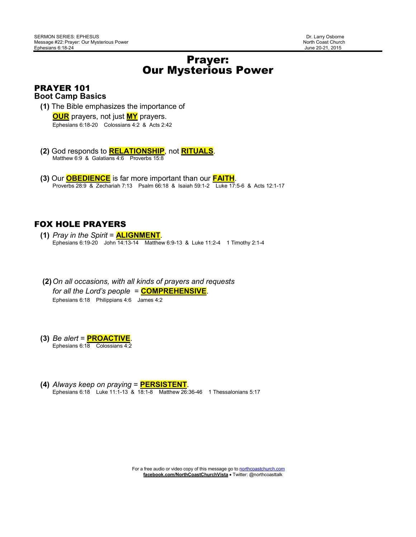# Prayer: Our Mysterious Power

#### PRAYER 101 **Boot Camp Basics**

**(1)** The Bible emphasizes the importance of

 **OUR** prayers, not just **MY** prayers. Ephesians 6:18-20 Colossians 4:2 & Acts 2:42

- **(2)** God responds to **RELATIONSHIP**, not **RITUALS**. Matthew 6:9 & Galatians 4:6 Proverbs 15:8
- **(3)** Our **OBEDIENCE** is far more important than our **FAITH**. Proverbs 28:9 & Zechariah 7:13 Psalm 66:18 & Isaiah 59:1-2 Luke 17:5-6 & Acts 12:1-17

#### FOX HOLE PRAYERS

- **(1)** *Pray in the Spirit* = **ALIGNMENT**. Ephesians 6:19-20 John 14:13-14 Matthew 6:9-13 & Luke 11:2-4 1 Timothy 2:1-4
- **(2)***On all occasions, with all kinds of prayers and requests for all the Lord's people* = **COMPREHENSIVE**. Ephesians 6:18 Philippians 4:6 James 4:2
- **(3)** *Be alert* = **PROACTIVE**. Ephesians 6:18 Colossians 4:2
- **(4)** *Always keep on praying* = **PERSISTENT**. Ephesians 6:18 Luke 11:1-13 & 18:1-8 Matthew 26:36-46 1 Thessalonians 5:17

For a free audio or video copy of this message go to northcoastchurch.com  **facebook.com/NorthCoastChurchVista** • Twitter: @northcoasttalk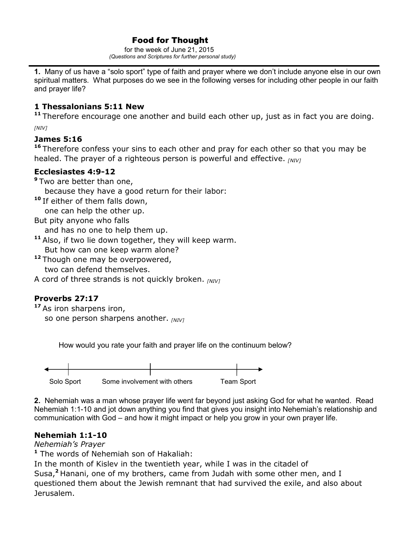## Food for Thought

 for the week of June 21, 2015  *(Questions and Scriptures for further personal study)* 

**1.** Many of us have a "solo sport" type of faith and prayer where we don't include anyone else in our own spiritual matters. What purposes do we see in the following verses for including other people in our faith and prayer life?

#### **1 Thessalonians 5:11 New**

**<sup>11</sup>**Therefore encourage one another and build each other up, just as in fact you are doing.

*[NIV]* 

## **James 5:16**

<sup>16</sup> Therefore confess your sins to each other and pray for each other so that you may be healed. The prayer of a righteous person is powerful and effective. *[NIV]* 

## **Ecclesiastes 4:9-12**

**<sup>9</sup>**Two are better than one,

because they have a good return for their labor:

**<sup>10</sup>**If either of them falls down,

one can help the other up.

But pity anyone who falls

and has no one to help them up.

**<sup>11</sup>**Also, if two lie down together, they will keep warm.

But how can one keep warm alone?

**<sup>12</sup>**Though one may be overpowered, two can defend themselves.

A cord of three strands is not quickly broken. *[NIV]* 

# **Proverbs 27:17**

**<sup>17</sup>**As iron sharpens iron, so one person sharpens another. *[NIV]*

How would you rate your faith and prayer life on the continuum below?



**2.** Nehemiah was a man whose prayer life went far beyond just asking God for what he wanted. Read Nehemiah 1:1-10 and jot down anything you find that gives you insight into Nehemiah's relationship and communication with God – and how it might impact or help you grow in your own prayer life.

# **Nehemiah 1:1-10**

*Nehemiah's Prayer*

**<sup>1</sup>** The words of Nehemiah son of Hakaliah:

In the month of Kislev in the twentieth year, while I was in the citadel of

Susa,**<sup>2</sup>**Hanani, one of my brothers, came from Judah with some other men, and I questioned them about the Jewish remnant that had survived the exile, and also about Jerusalem.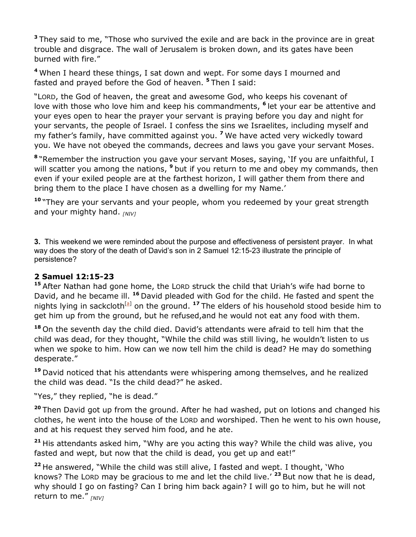**<sup>3</sup>**They said to me, "Those who survived the exile and are back in the province are in great trouble and disgrace. The wall of Jerusalem is broken down, and its gates have been burned with fire."

**<sup>4</sup>**When I heard these things, I sat down and wept. For some days I mourned and fasted and prayed before the God of heaven. **<sup>5</sup>**Then I said:

"LORD, the God of heaven, the great and awesome God, who keeps his covenant of love with those who love him and keep his commandments, **<sup>6</sup>**let your ear be attentive and your eyes open to hear the prayer your servant is praying before you day and night for your servants, the people of Israel. I confess the sins we Israelites, including myself and my father's family, have committed against you. **<sup>7</sup>**We have acted very wickedly toward you. We have not obeyed the commands, decrees and laws you gave your servant Moses.

**<sup>8</sup>**"Remember the instruction you gave your servant Moses, saying, 'If you are unfaithful, I will scatter you among the nations, **<sup>9</sup>**but if you return to me and obey my commands, then even if your exiled people are at the farthest horizon, I will gather them from there and bring them to the place I have chosen as a dwelling for my Name.'

**<sup>10</sup>**"They are your servants and your people, whom you redeemed by your great strength and your mighty hand. *[NIV]* 

**3.** This weekend we were reminded about the purpose and effectiveness of persistent prayer. In what way does the story of the death of David's son in 2 Samuel 12:15-23 illustrate the principle of persistence?

#### **2 Samuel 12:15-23**

**<sup>15</sup>**After Nathan had gone home, the LORD struck the child that Uriah's wife had borne to David, and he became ill. **<sup>16</sup>**David pleaded with God for the child. He fasted and spent the nights lying in sackcloth<sup>[a]</sup> on the ground. <sup>17</sup> The elders of his household stood beside him to get him up from the ground, but he refused,and he would not eat any food with them.

**<sup>18</sup>**On the seventh day the child died. David's attendants were afraid to tell him that the child was dead, for they thought, "While the child was still living, he wouldn't listen to us when we spoke to him. How can we now tell him the child is dead? He may do something desperate."

**<sup>19</sup>**David noticed that his attendants were whispering among themselves, and he realized the child was dead. "Is the child dead?" he asked.

"Yes," they replied, "he is dead."

**<sup>20</sup>**Then David got up from the ground. After he had washed, put on lotions and changed his clothes, he went into the house of the LORD and worshiped. Then he went to his own house, and at his request they served him food, and he ate.

**<sup>21</sup>**His attendants asked him, "Why are you acting this way? While the child was alive, you fasted and wept, but now that the child is dead, you get up and eat!"

**<sup>22</sup>**He answered, "While the child was still alive, I fasted and wept. I thought, 'Who knows? The LORD may be gracious to me and let the child live.'<sup>23</sup> But now that he is dead, why should I go on fasting? Can I bring him back again? I will go to him, but he will not return to me." *[NIV]*